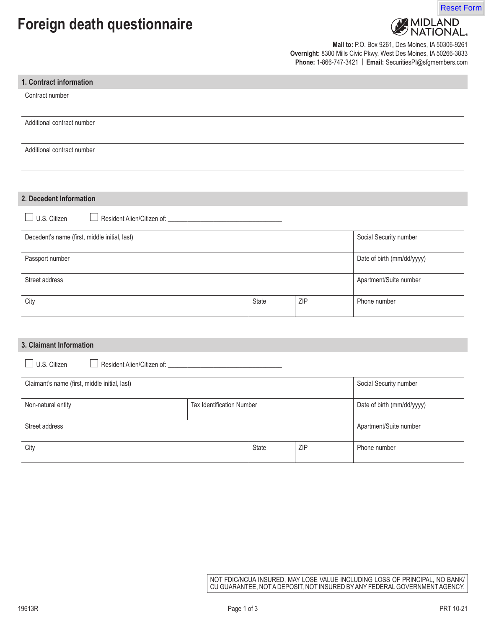# **Foreign death questionnaire**





**Mail to:** P.O. Box 9261, Des Moines, IA 50306-9261 **Overnight:** 8300 Mills Civic Pkwy, West Des Moines, IA 50266-3833 **Phone:** 1-866-747-3421 | **Email:** SecuritiesPI@sfgmembers.com

| 1. Contract information                       |                           |              |                            |                        |
|-----------------------------------------------|---------------------------|--------------|----------------------------|------------------------|
| Contract number                               |                           |              |                            |                        |
| Additional contract number                    |                           |              |                            |                        |
| Additional contract number                    |                           |              |                            |                        |
|                                               |                           |              |                            |                        |
| 2. Decedent Information                       |                           |              |                            |                        |
| $\Box$ U.S. Citizen                           |                           |              |                            |                        |
| Decedent's name (first, middle initial, last) |                           |              |                            | Social Security number |
| Passport number                               |                           |              | Date of birth (mm/dd/yyyy) |                        |
| Street address                                |                           |              | Apartment/Suite number     |                        |
| City                                          |                           | State        | ZIP                        | Phone number           |
|                                               |                           |              |                            |                        |
| 3. Claimant Information                       |                           |              |                            |                        |
| U.S. Citizen<br>$\mathcal{A}$                 |                           |              |                            |                        |
| Claimant's name (first, middle initial, last) |                           |              |                            | Social Security number |
| Non-natural entity                            | Tax Identification Number |              | Date of birth (mm/dd/yyyy) |                        |
| Street address                                |                           |              |                            | Apartment/Suite number |
| City                                          |                           | <b>State</b> | ZIP                        | Phone number           |

NOT FDIC/NCUA INSURED, MAY LOSE VALUE INCLUDING LOSS OF PRINCIPAL, NO BANK/ CU GUARANTEE, NOT A DEPOSIT, NOT INSURED BY ANY FEDERAL GOVERNMENT AGENCY.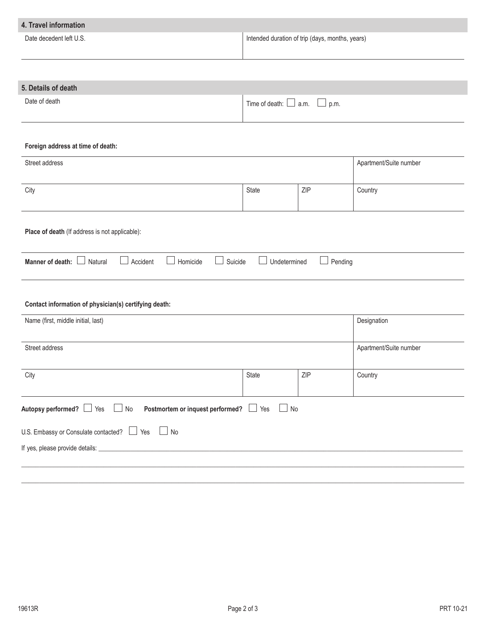| 4. Travel information                                                                                |                                                 |                                           |                        |  |
|------------------------------------------------------------------------------------------------------|-------------------------------------------------|-------------------------------------------|------------------------|--|
| Date decedent left U.S.                                                                              | Intended duration of trip (days, months, years) |                                           |                        |  |
|                                                                                                      |                                                 |                                           |                        |  |
| 5. Details of death                                                                                  |                                                 |                                           |                        |  |
| Date of death                                                                                        |                                                 | Time of death: $\Box$ a.m.<br>$\Box$ p.m. |                        |  |
| Foreign address at time of death:                                                                    |                                                 |                                           |                        |  |
| Street address                                                                                       |                                                 |                                           | Apartment/Suite number |  |
| City                                                                                                 | State                                           | ZIP                                       | Country                |  |
| Place of death (If address is not applicable):                                                       |                                                 |                                           |                        |  |
| $\Box$<br>Accident<br>$\blacksquare$<br>Suicide<br>Manner of death:<br>$\Box$<br>Homicide<br>Natural | Undetermined                                    | Pending<br>$\vert \ \ \vert$              |                        |  |
| Contact information of physician(s) certifying death:                                                |                                                 |                                           |                        |  |
| Name (first, middle initial, last)                                                                   |                                                 | Designation                               |                        |  |
| Street address                                                                                       |                                                 |                                           | Apartment/Suite number |  |
| City                                                                                                 | State                                           | ZIP                                       | Country                |  |
| Autopsy performed? Ses<br>Postmortem or inquest performed?   Yes<br>$\Box$ No<br>$\Box$ No           |                                                 |                                           |                        |  |
| U.S. Embassy or Consulate contacted? $\Box$ Yes $\Box$ No                                            |                                                 |                                           |                        |  |
|                                                                                                      |                                                 |                                           |                        |  |
|                                                                                                      |                                                 |                                           |                        |  |

 $\_$  , and the set of the set of the set of the set of the set of the set of the set of the set of the set of the set of the set of the set of the set of the set of the set of the set of the set of the set of the set of th